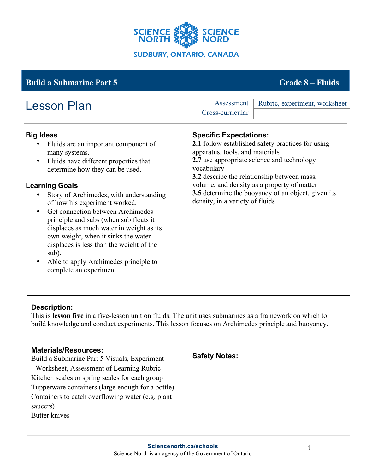

# **Build a Submarine Part 5** Grade 8 – **Fluids**

| <b>Lesson Plan</b>                                                                                                                                                                                                                                                                                                                                                                                                                                                                                                                                    | Assessment<br>Rubric, experiment, worksheet<br>Cross-curricular                                                                                                                                                                                                                                                                                                          |
|-------------------------------------------------------------------------------------------------------------------------------------------------------------------------------------------------------------------------------------------------------------------------------------------------------------------------------------------------------------------------------------------------------------------------------------------------------------------------------------------------------------------------------------------------------|--------------------------------------------------------------------------------------------------------------------------------------------------------------------------------------------------------------------------------------------------------------------------------------------------------------------------------------------------------------------------|
| <b>Big Ideas</b><br>Fluids are an important component of<br>many systems.<br>Fluids have different properties that<br>determine how they can be used.<br><b>Learning Goals</b><br>Story of Archimedes, with understanding<br>of how his experiment worked.<br>Get connection between Archimedes<br>principle and subs (when sub floats it<br>displaces as much water in weight as its<br>own weight, when it sinks the water<br>displaces is less than the weight of the<br>sub).<br>Able to apply Archimedes principle to<br>complete an experiment. | <b>Specific Expectations:</b><br>2.1 follow established safety practices for using<br>apparatus, tools, and materials<br>2.7 use appropriate science and technology<br>vocabulary<br>3.2 describe the relationship between mass,<br>volume, and density as a property of matter<br>3.5 determine the buoyancy of an object, given its<br>density, in a variety of fluids |

## **Description:**

This is **lesson five** in a five-lesson unit on fluids. The unit uses submarines as a framework on which to build knowledge and conduct experiments. This lesson focuses on Archimedes principle and buoyancy.

| <b>Materials/Resources:</b><br>Build a Submarine Part 5 Visuals, Experiment | <b>Safety Notes:</b> |
|-----------------------------------------------------------------------------|----------------------|
| Worksheet, Assessment of Learning Rubric                                    |                      |
| Kitchen scales or spring scales for each group                              |                      |
| Tupperware containers (large enough for a bottle)                           |                      |
| Containers to catch overflowing water (e.g. plant)                          |                      |
| saucers)                                                                    |                      |
| <b>Butter knives</b>                                                        |                      |
|                                                                             |                      |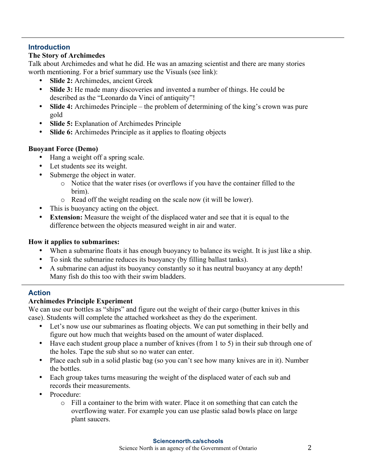## **Introduction**

## **The Story of Archimedes**

Talk about Archimedes and what he did. He was an amazing scientist and there are many stories worth mentioning. For a brief summary use the Visuals (see link):

- **Slide 2:** Archimedes, ancient Greek
- **Slide 3:** He made many discoveries and invented a number of things. He could be described as the "Leonardo da Vinci of antiquity"!
- **Slide 4:** Archimedes Principle the problem of determining of the king's crown was pure gold
- **Slide 5:** Explanation of Archimedes Principle
- **Slide 6:** Archimedes Principle as it applies to floating objects

## **Buoyant Force (Demo)**

- Hang a weight off a spring scale.
- Let students see its weight.
- Submerge the object in water.
	- o Notice that the water rises (or overflows if you have the container filled to the brim).
	- o Read off the weight reading on the scale now (it will be lower).
- This is buoyancy acting on the object.
- **Extension:** Measure the weight of the displaced water and see that it is equal to the difference between the objects measured weight in air and water.

## **How it applies to submarines:**

- When a submarine floats it has enough buoyancy to balance its weight. It is just like a ship.
- To sink the submarine reduces its buoyancy (by filling ballast tanks).
- A submarine can adjust its buoyancy constantly so it has neutral buoyancy at any depth! Many fish do this too with their swim bladders.

## **Action**

## **Archimedes Principle Experiment**

We can use our bottles as "ships" and figure out the weight of their cargo (butter knives in this case). Students will complete the attached worksheet as they do the experiment.

- Let's now use our submarines as floating objects. We can put something in their belly and figure out how much that weights based on the amount of water displaced.
- Have each student group place a number of knives (from 1 to 5) in their sub through one of the holes. Tape the sub shut so no water can enter.
- Place each sub in a solid plastic bag (so you can't see how many knives are in it). Number the bottles.
- Each group takes turns measuring the weight of the displaced water of each sub and records their measurements.
- Procedure:
	- o Fill a container to the brim with water. Place it on something that can catch the overflowing water. For example you can use plastic salad bowls place on large plant saucers.